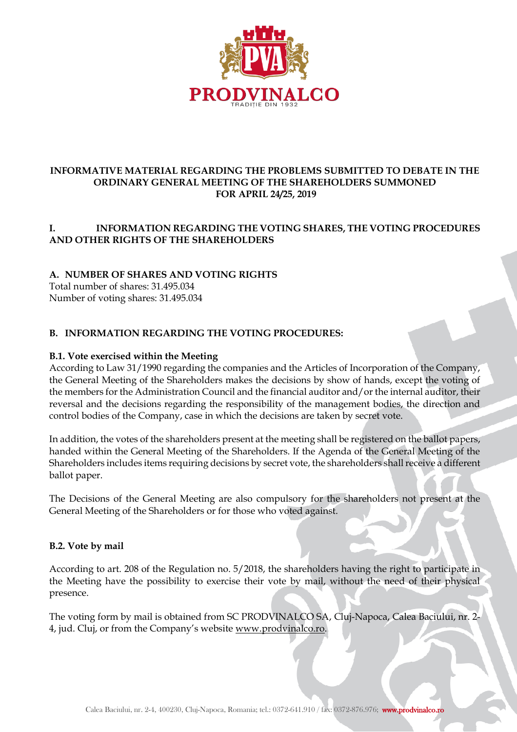

### **INFORMATIVE MATERIAL REGARDING THE PROBLEMS SUBMITTED TO DEBATE IN THE ORDINARY GENERAL MEETING OF THE SHAREHOLDERS SUMMONED FOR APRIL 24/25, 2019**

### **I. INFORMATION REGARDING THE VOTING SHARES, THE VOTING PROCEDURES AND OTHER RIGHTS OF THE SHAREHOLDERS**

## **A. NUMBER OF SHARES AND VOTING RIGHTS**

Total number of shares: 31.495.034 Number of voting shares: 31.495.034

### **B. INFORMATION REGARDING THE VOTING PROCEDURES:**

#### **B.1. Vote exercised within the Meeting**

According to Law 31/1990 regarding the companies and the Articles of Incorporation of the Company, the General Meeting of the Shareholders makes the decisions by show of hands, except the voting of the members for the Administration Council and the financial auditor and/or the internal auditor, their reversal and the decisions regarding the responsibility of the management bodies, the direction and control bodies of the Company, case in which the decisions are taken by secret vote.

In addition, the votes of the shareholders present at the meeting shall be registered on the ballot papers, handed within the General Meeting of the Shareholders. If the Agenda of the General Meeting of the Shareholders includes items requiring decisions by secret vote, the shareholders shall receive a different ballot paper.

The Decisions of the General Meeting are also compulsory for the shareholders not present at the General Meeting of the Shareholders or for those who voted against.

#### **B.2. Vote by mail**

According to art. 208 of the Regulation no. 5/2018, the shareholders having the right to participate in the Meeting have the possibility to exercise their vote by mail, without the need of their physical presence.

The voting form by mail is obtained from SC PRODVINALCO SA, Cluj-Napoca, Calea Baciului, nr. 2- 4, jud. Cluj, or from the Company's website [www.prodvinalco.ro.](http://www.prodvinalco.ro/)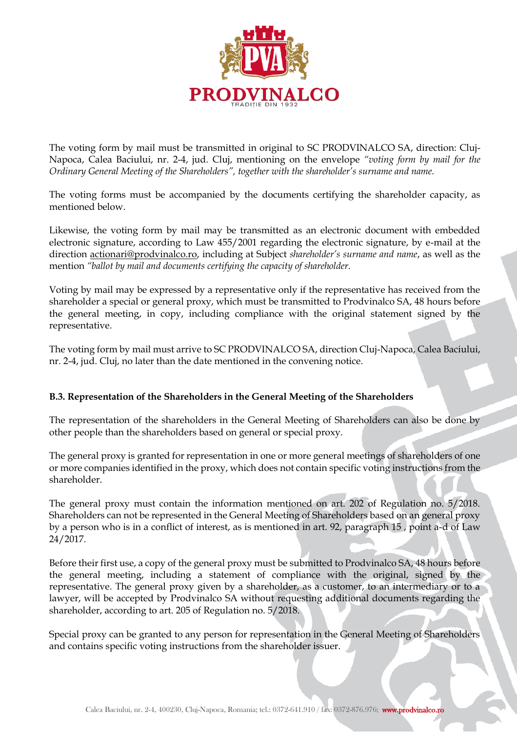

The voting form by mail must be transmitted in original to SC PRODVINALCO SA, direction: Cluj-Napoca, Calea Baciului, nr. 2-4, jud. Cluj, mentioning on the envelope *"voting form by mail for the Ordinary General Meeting of the Shareholders", together with the shareholder's surname and name.*

The voting forms must be accompanied by the documents certifying the shareholder capacity, as mentioned below.

Likewise, the voting form by mail may be transmitted as an electronic document with embedded electronic signature, according to Law 455/2001 regarding the electronic signature, by e-mail at the direction [actionari@prodvinalco.ro,](mailto:actionari@prodvinalco.ro) including at Subject *shareholder's surname and name*, as well as the mention *"ballot by mail and documents certifying the capacity of shareholder.*

Voting by mail may be expressed by a representative only if the representative has received from the shareholder a special or general proxy, which must be transmitted to Prodvinalco SA, 48 hours before the general meeting, in copy, including compliance with the original statement signed by the representative.

The voting form by mail must arrive to SC PRODVINALCO SA, direction Cluj-Napoca, Calea Baciului, nr. 2-4, jud. Cluj, no later than the date mentioned in the convening notice.

## **B.3. Representation of the Shareholders in the General Meeting of the Shareholders**

The representation of the shareholders in the General Meeting of Shareholders can also be done by other people than the shareholders based on general or special proxy.

The general proxy is granted for representation in one or more general meetings of shareholders of one or more companies identified in the proxy, which does not contain specific voting instructions from the shareholder.

The general proxy must contain the information mentioned on art. 202 of Regulation no. 5/2018. Shareholders can not be represented in the General Meeting of Shareholders based on an general proxy by a person who is in a conflict of interest, as is mentioned in art. 92, paragraph 15 , point a-d of Law 24/2017.

Before their first use, a copy of the general proxy must be submitted to Prodvinalco SA, 48 hours before the general meeting, including a statement of compliance with the original, signed by the representative. The general proxy given by a shareholder, as a customer, to an intermediary or to a lawyer, will be accepted by Prodvinalco SA without requesting additional documents regarding the shareholder, according to art. 205 of Regulation no. 5/2018.

Special proxy can be granted to any person for representation in the General Meeting of Shareholders and contains specific voting instructions from the shareholder issuer.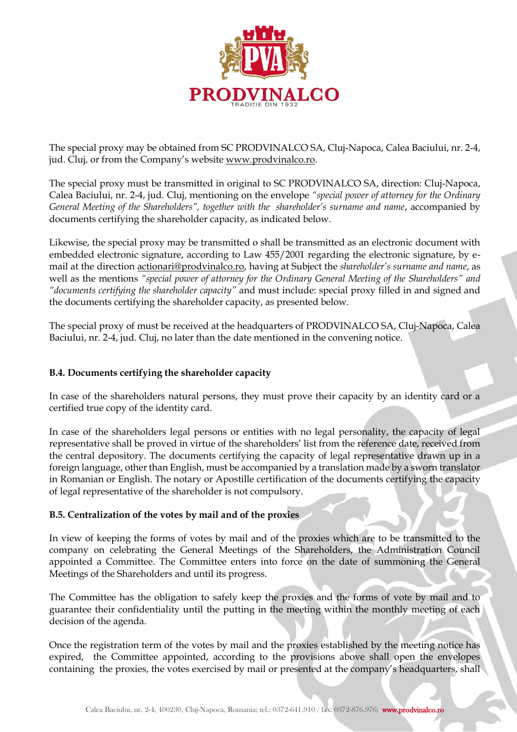

The special proxy may be obtained from SC PRODVINALCO SA, Cluj-Napoca, Calea Baciului, nr. 2-4, jud. Cluj, or from the Company's website [www.prodvinalco.ro.](http://www.prodvinalco.ro/)

The special proxy must be transmitted in original to SC PRODVINALCO SA, direction: Cluj-Napoca, Calea Baciului, nr. 2-4, jud. Cluj, mentioning on the envelope *"special power of attorney for the Ordinary General Meeting of the Shareholders", together with the shareholder's surname and name*, accompanied by documents certifying the shareholder capacity, as indicated below.

Likewise, the special proxy may be transmitted o shall be transmitted as an electronic document with embedded electronic signature, according to Law 455/2001 regarding the electronic signature, by email at the direction [actionari@prodvinalco.ro,](mailto:actionari@prodvinalco.ro) having at Subject the *shareholder's surname and name*, as well as the mentions *"special power of attorney for the Ordinary General Meeting of the Shareholders" and "documents certifying the shareholder capacity"* and must include: special proxy filled in and signed and the documents certifying the shareholder capacity, as presented below.

The special proxy of must be received at the headquarters of PRODVINALCO SA, Cluj-Napoca, Calea Baciului, nr. 2-4, jud. Cluj, no later than the date mentioned in the convening notice.

#### **B.4. Documents certifying the shareholder capacity**

In case of the shareholders natural persons, they must prove their capacity by an identity card or a certified true copy of the identity card.

In case of the shareholders legal persons or entities with no legal personality, the capacity of legal representative shall be proved in virtue of the shareholders' list from the reference date, received from the central depository. The documents certifying the capacity of legal representative drawn up in a foreign language, other than English, must be accompanied by a translation made by a sworn translator in Romanian or English. The notary or Apostille certification of the documents certifying the capacity of legal representative of the shareholder is not compulsory.

#### **B.5. Centralization of the votes by mail and of the proxies**

In view of keeping the forms of votes by mail and of the proxies which are to be transmitted to the company on celebrating the General Meetings of the Shareholders, the Administration Council appointed a Committee. The Committee enters into force on the date of summoning the General Meetings of the Shareholders and until its progress.

The Committee has the obligation to safely keep the proxies and the forms of vote by mail and to guarantee their confidentiality until the putting in the meeting within the monthly meeting of each decision of the agenda.

Once the registration term of the votes by mail and the proxies established by the meeting notice has expired, the Committee appointed, according to the provisions above shall open the envelopes containing the proxies, the votes exercised by mail or presented at the company's headquarters, shall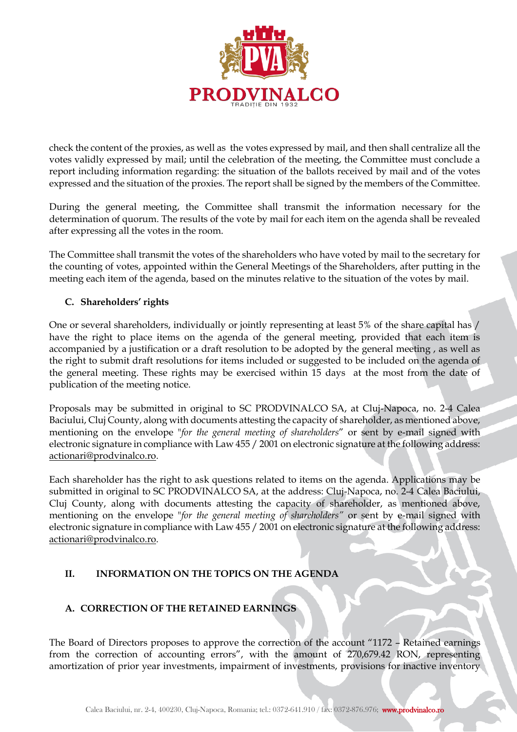

check the content of the proxies, as well as the votes expressed by mail, and then shall centralize all the votes validly expressed by mail; until the celebration of the meeting, the Committee must conclude a report including information regarding: the situation of the ballots received by mail and of the votes expressed and the situation of the proxies. The report shall be signed by the members of the Committee.

During the general meeting, the Committee shall transmit the information necessary for the determination of quorum. The results of the vote by mail for each item on the agenda shall be revealed after expressing all the votes in the room.

The Committee shall transmit the votes of the shareholders who have voted by mail to the secretary for the counting of votes, appointed within the General Meetings of the Shareholders, after putting in the meeting each item of the agenda, based on the minutes relative to the situation of the votes by mail.

## **C. Shareholders' rights**

One or several shareholders, individually or jointly representing at least 5% of the share capital has / have the right to place items on the agenda of the general meeting, provided that each item is accompanied by a justification or a draft resolution to be adopted by the general meeting , as well as the right to submit draft resolutions for items included or suggested to be included on the agenda of the general meeting. These rights may be exercised within 15 days at the most from the date of publication of the meeting notice.

Proposals may be submitted in original to SC PRODVINALCO SA, at Cluj-Napoca, no. 2-4 Calea Baciului, Cluj County, along with documents attesting the capacity of shareholder, as mentioned above, mentioning on the envelope "*for the general meeting of shareholders*" or sent by e-mail signed with electronic signature in compliance with Law 455 / 2001 on electronic signature at the following address: [actionari@prodvinalco.ro.](mailto:actionari@prodvinalco.ro)

Each shareholder has the right to ask questions related to items on the agenda. Applications may be submitted in original to SC PRODVINALCO SA, at the address: Cluj-Napoca, no. 2-4 Calea Baciului, Cluj County, along with documents attesting the capacity of shareholder, as mentioned above, mentioning on the envelope "*for the general meeting of shareholders"* or sent by e-mail signed with electronic signature in compliance with Law 455 / 2001 on electronic signature at the following address: [actionari@prodvinalco.ro.](mailto:actionari@prodvinalco.ro)

# **II. INFORMATION ON THE TOPICS ON THE AGENDA**

# **A. CORRECTION OF THE RETAINED EARNINGS**

The Board of Directors proposes to approve the correction of the account "1172 – Retained earnings from the correction of accounting errors", with the amount of 270,679.42 RON, representing amortization of prior year investments, impairment of investments, provisions for inactive inventory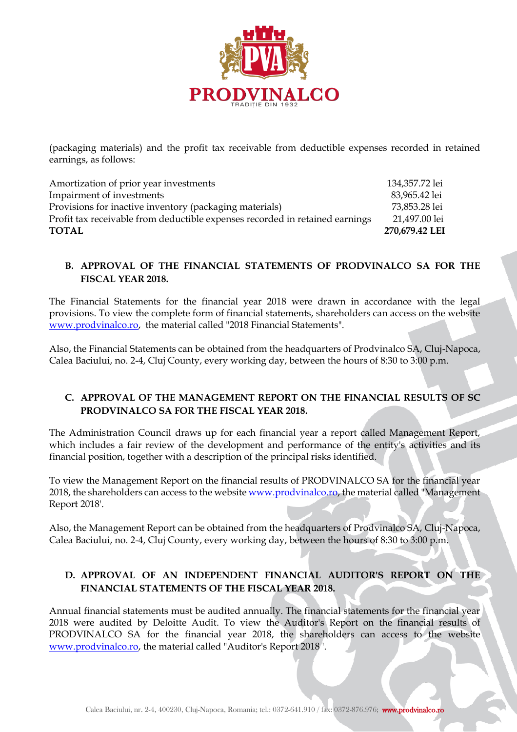

(packaging materials) and the profit tax receivable from deductible expenses recorded in retained earnings, as follows:

Amortization of prior year investments 134,357.72 lei Impairment of investments 83,965.42 lei Provisions for inactive inventory (packaging materials) 73,853.28 lei Profit tax receivable from deductible expenses recorded in retained earnings 21,497.00 lei **TOTAL 270,679.42 LEI**

## **B. APPROVAL OF THE FINANCIAL STATEMENTS OF PRODVINALCO SA FOR THE FISCAL YEAR 2018.**

The Financial Statements for the financial year 2018 were drawn in accordance with the legal provisions. To view the complete form of financial statements, shareholders can access on the website [www.prodvinalco.ro,](http://www.prodvinalco.ro/) the material called "2018 Financial Statements".

Also, the Financial Statements can be obtained from the headquarters of Prodvinalco SA, Cluj-Napoca, Calea Baciului, no. 2-4, Cluj County, every working day, between the hours of 8:30 to 3:00 p.m.

## **C. APPROVAL OF THE MANAGEMENT REPORT ON THE FINANCIAL RESULTS OF SC PRODVINALCO SA FOR THE FISCAL YEAR 2018.**

The Administration Council draws up for each financial year a report called Management Report, which includes a fair review of the development and performance of the entity's activities and its financial position, together with a description of the principal risks identified.

To view the Management Report on the financial results of PRODVINALCO SA for the financial year 2018, the shareholders can access to the website [www.prodvinalco.ro,](http://www.prodvinalco.ro/) the material called "Management" Report 2018'.

Also, the Management Report can be obtained from the headquarters of Prodvinalco SA, Cluj-Napoca, Calea Baciului, no. 2-4, Cluj County, every working day, between the hours of 8:30 to 3:00 p.m.

## **D. APPROVAL OF AN INDEPENDENT FINANCIAL AUDITOR'S REPORT ON THE FINANCIAL STATEMENTS OF THE FISCAL YEAR 2018.**

Annual financial statements must be audited annually. The financial statements for the financial year 2018 were audited by Deloitte Audit. To view the Auditor's Report on the financial results of PRODVINALCO SA for the financial year 2018, the shareholders can access to the website [www.prodvinalco.ro,](http://www.prodvinalco.ro/) the material called "Auditor's Report 2018 '.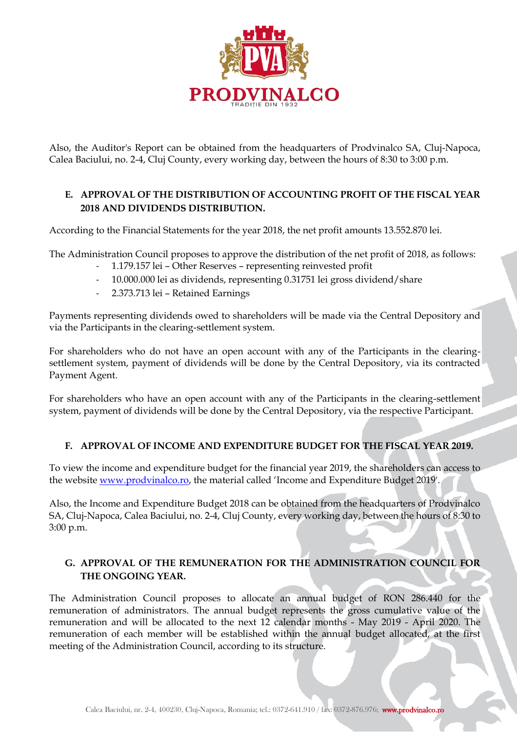

Also, the Auditor's Report can be obtained from the headquarters of Prodvinalco SA, Cluj-Napoca, Calea Baciului, no. 2-4, Cluj County, every working day, between the hours of 8:30 to 3:00 p.m.

# **E. APPROVAL OF THE DISTRIBUTION OF ACCOUNTING PROFIT OF THE FISCAL YEAR 2018 AND DIVIDENDS DISTRIBUTION.**

According to the Financial Statements for the year 2018, the net profit amounts 13.552.870 lei.

The Administration Council proposes to approve the distribution of the net profit of 2018, as follows:

- 1.179.157 lei Other Reserves representing reinvested profit
- 10.000.000 lei as dividends, representing 0.31751 lei gross dividend/share
- 2.373.713 lei Retained Earnings

Payments representing dividends owed to shareholders will be made via the Central Depository and via the Participants in the clearing-settlement system.

For shareholders who do not have an open account with any of the Participants in the clearingsettlement system, payment of dividends will be done by the Central Depository, via its contracted Payment Agent.

For shareholders who have an open account with any of the Participants in the clearing-settlement system, payment of dividends will be done by the Central Depository, via the respective Participant.

## **F. APPROVAL OF INCOME AND EXPENDITURE BUDGET FOR THE FISCAL YEAR 2019.**

To view the income and expenditure budget for the financial year 2019, the shareholders can access to the websit[e www.prodvinalco.ro](http://www.prodvinalco.ro/), the material called 'Income and Expenditure Budget 2019'.

Also, the Income and Expenditure Budget 2018 can be obtained from the headquarters of Prodvinalco SA, Cluj-Napoca, Calea Baciului, no. 2-4, Cluj County, every working day, between the hours of 8:30 to 3:00 p.m.

## **G. APPROVAL OF THE REMUNERATION FOR THE ADMINISTRATION COUNCIL FOR THE ONGOING YEAR.**

The Administration Council proposes to allocate an annual budget of RON 286.440 for the remuneration of administrators. The annual budget represents the gross cumulative value of the remuneration and will be allocated to the next 12 calendar months - May 2019 - April 2020. The remuneration of each member will be established within the annual budget allocated, at the first meeting of the Administration Council, according to its structure.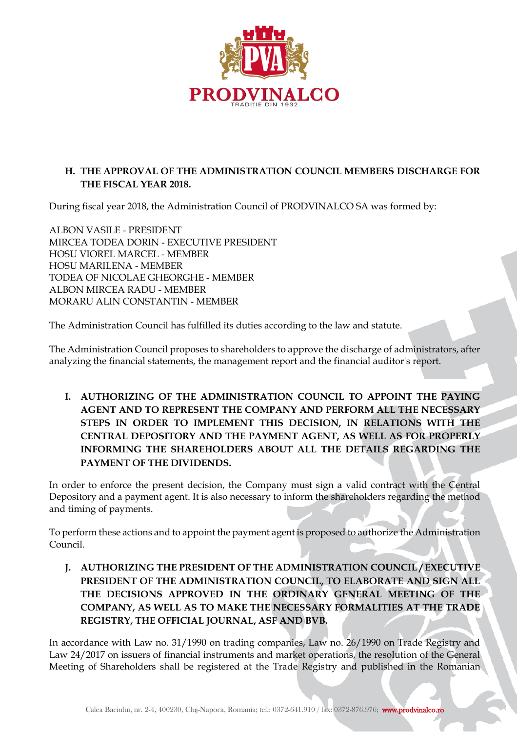

# **H. THE APPROVAL OF THE ADMINISTRATION COUNCIL MEMBERS DISCHARGE FOR THE FISCAL YEAR 2018.**

During fiscal year 2018, the Administration Council of PRODVINALCO SA was formed by:

ALBON VASILE - PRESIDENT MIRCEA TODEA DORIN - EXECUTIVE PRESIDENT HOSU VIOREL MARCEL - MEMBER HOSU MARILENA - MEMBER TODEA OF NICOLAE GHEORGHE - MEMBER ALBON MIRCEA RADU - MEMBER MORARU ALIN CONSTANTIN - MEMBER

The Administration Council has fulfilled its duties according to the law and statute.

The Administration Council proposes to shareholders to approve the discharge of administrators, after analyzing the financial statements, the management report and the financial auditor's report.

**I. AUTHORIZING OF THE ADMINISTRATION COUNCIL TO APPOINT THE PAYING AGENT AND TO REPRESENT THE COMPANY AND PERFORM ALL THE NECESSARY STEPS IN ORDER TO IMPLEMENT THIS DECISION, IN RELATIONS WITH THE CENTRAL DEPOSITORY AND THE PAYMENT AGENT, AS WELL AS FOR PROPERLY INFORMING THE SHAREHOLDERS ABOUT ALL THE DETAILS REGARDING THE PAYMENT OF THE DIVIDENDS.**

In order to enforce the present decision, the Company must sign a valid contract with the Central Depository and a payment agent. It is also necessary to inform the shareholders regarding the method and timing of payments.

To perform these actions and to appoint the payment agent is proposed to authorize the Administration Council.

**J. AUTHORIZING THE PRESIDENT OF THE ADMINISTRATION COUNCIL / EXECUTIVE PRESIDENT OF THE ADMINISTRATION COUNCIL, TO ELABORATE AND SIGN ALL THE DECISIONS APPROVED IN THE ORDINARY GENERAL MEETING OF THE COMPANY, AS WELL AS TO MAKE THE NECESSARY FORMALITIES AT THE TRADE REGISTRY, THE OFFICIAL JOURNAL, ASF AND BVB.** 

In accordance with Law no. 31/1990 on trading companies, Law no. 26/1990 on Trade Registry and Law 24/2017 on issuers of financial instruments and market operations, the resolution of the General Meeting of Shareholders shall be registered at the Trade Registry and published in the Romanian